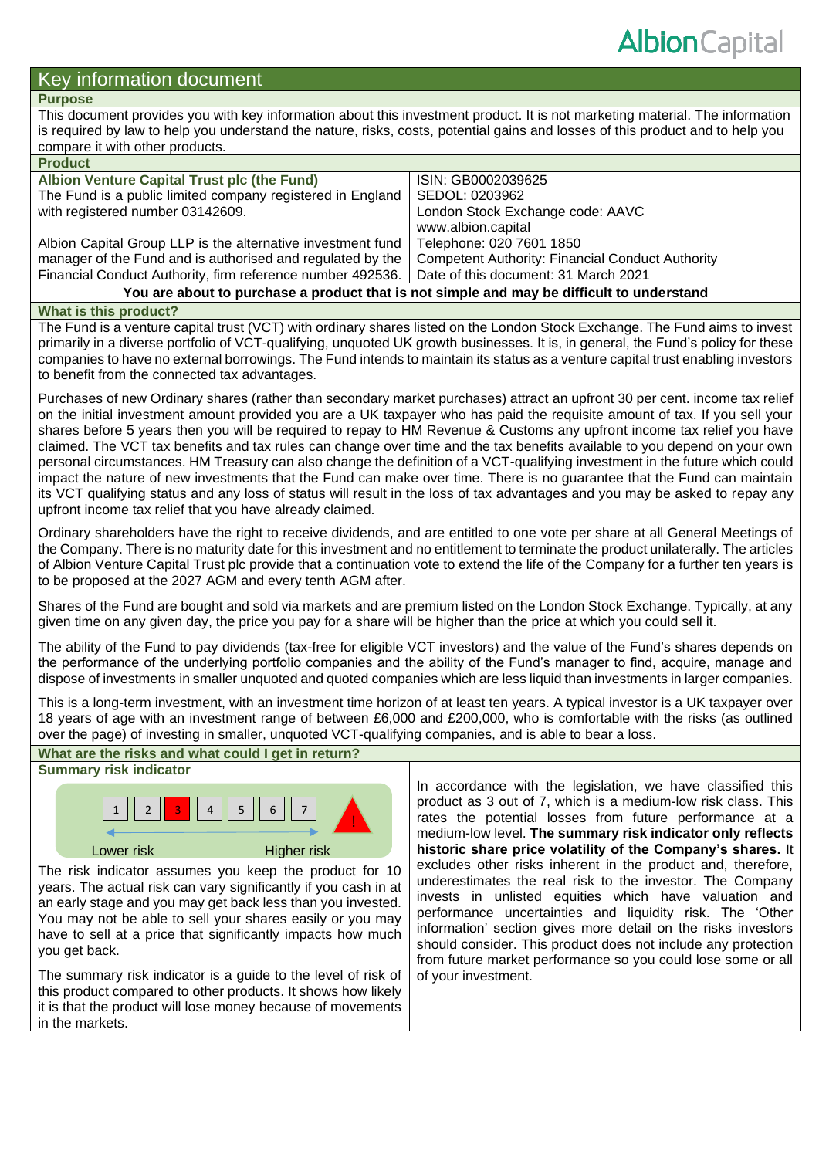# Key information document

# **Purpose**

This document provides you with key information about this investment product. It is not marketing material. The information is required by law to help you understand the nature, risks, costs, potential gains and losses of this product and to help you compare it with other products.

| <b>Product</b>                                                                                    |                                                         |  |  |
|---------------------------------------------------------------------------------------------------|---------------------------------------------------------|--|--|
| Albion Venture Capital Trust plc (the Fund)                                                       | ISIN: GB0002039625                                      |  |  |
| The Fund is a public limited company registered in England                                        | SEDOL: 0203962                                          |  |  |
| with registered number 03142609.                                                                  | London Stock Exchange code: AAVC                        |  |  |
|                                                                                                   | www.albion.capital                                      |  |  |
| Albion Capital Group LLP is the alternative investment fund                                       | Telephone: 020 7601 1850                                |  |  |
| manager of the Fund and is authorised and regulated by the                                        | <b>Competent Authority: Financial Conduct Authority</b> |  |  |
| Financial Conduct Authority, firm reference number 492536.   Date of this document: 31 March 2021 |                                                         |  |  |
| You are about to purchase a product that is not simple and may be difficult to understand         |                                                         |  |  |

#### **What is this product?**

The Fund is a venture capital trust (VCT) with ordinary shares listed on the London Stock Exchange. The Fund aims to invest primarily in a diverse portfolio of VCT-qualifying, unquoted UK growth businesses. It is, in general, the Fund's policy for these companies to have no external borrowings. The Fund intends to maintain its status as a venture capital trust enabling investors to benefit from the connected tax advantages.

Purchases of new Ordinary shares (rather than secondary market purchases) attract an upfront 30 per cent. income tax relief on the initial investment amount provided you are a UK taxpayer who has paid the requisite amount of tax. If you sell your shares before 5 years then you will be required to repay to HM Revenue & Customs any upfront income tax relief you have claimed. The VCT tax benefits and tax rules can change over time and the tax benefits available to you depend on your own personal circumstances. HM Treasury can also change the definition of a VCT-qualifying investment in the future which could impact the nature of new investments that the Fund can make over time. There is no guarantee that the Fund can maintain its VCT qualifying status and any loss of status will result in the loss of tax advantages and you may be asked to repay any upfront income tax relief that you have already claimed.

Ordinary shareholders have the right to receive dividends, and are entitled to one vote per share at all General Meetings of the Company. There is no maturity date for this investment and no entitlement to terminate the product unilaterally. The articles of Albion Venture Capital Trust plc provide that a continuation vote to extend the life of the Company for a further ten years is to be proposed at the 2027 AGM and every tenth AGM after.

Shares of the Fund are bought and sold via markets and are premium listed on the London Stock Exchange. Typically, at any given time on any given day, the price you pay for a share will be higher than the price at which you could sell it.

The ability of the Fund to pay dividends (tax-free for eligible VCT investors) and the value of the Fund's shares depends on the performance of the underlying portfolio companies and the ability of the Fund's manager to find, acquire, manage and dispose of investments in smaller unquoted and quoted companies which are less liquid than investments in larger companies.

This is a long-term investment, with an investment time horizon of at least ten years. A typical investor is a UK taxpayer over 18 years of age with an investment range of between £6,000 and £200,000, who is comfortable with the risks (as outlined over the page) of investing in smaller, unquoted VCT-qualifying companies, and is able to bear a loss.



In accordance with the legislation, we have classified this product as 3 out of 7, which is a medium-low risk class. This rates the potential losses from future performance at a medium-low level. **The summary risk indicator only reflects historic share price volatility of the Company's shares.** It excludes other risks inherent in the product and, therefore, underestimates the real risk to the investor. The Company invests in unlisted equities which have valuation and performance uncertainties and liquidity risk. The 'Other information' section gives more detail on the risks investors should consider. This product does not include any protection from future market performance so you could lose some or all of your investment.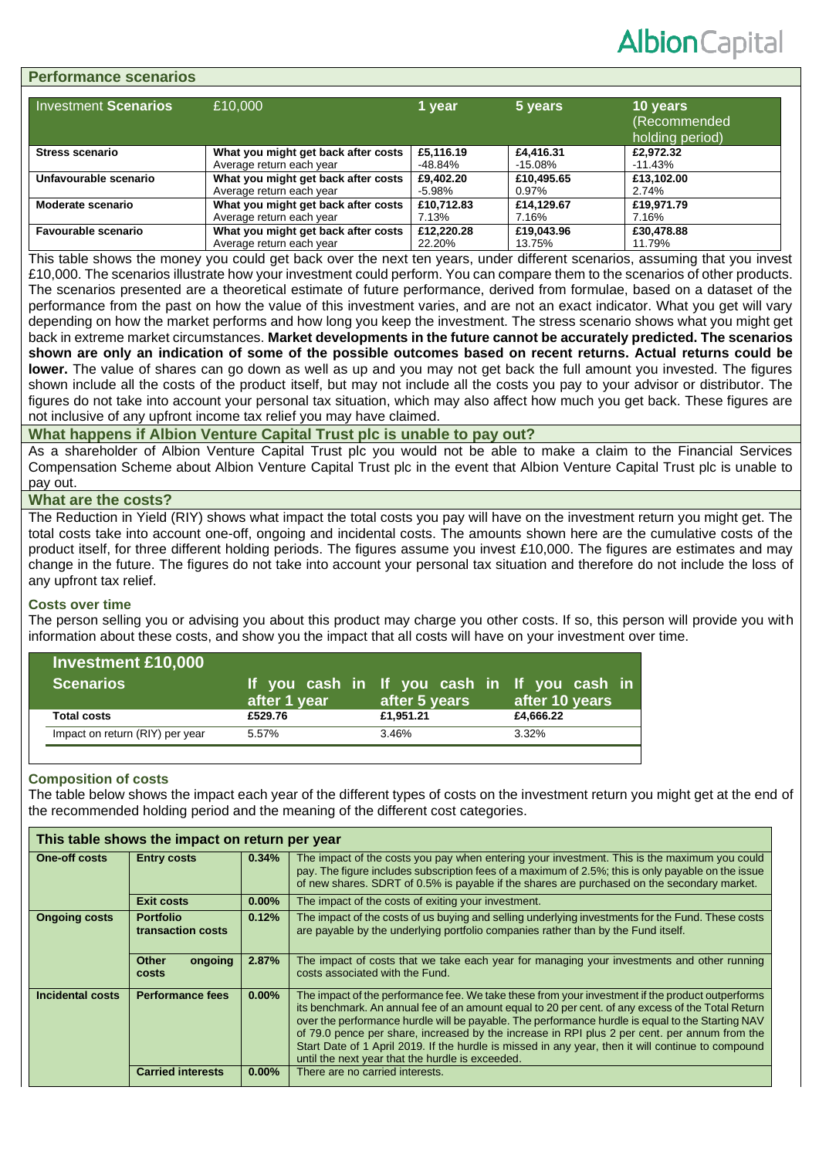# **Albion** Capital

#### **Performance scenarios**

| <b>Investment Scenarios</b> | £10,000                             | 1 vear     | 5 years    | 10 years<br>(Recommended<br>holding period) |
|-----------------------------|-------------------------------------|------------|------------|---------------------------------------------|
| <b>Stress scenario</b>      | What you might get back after costs | £5.116.19  | £4,416.31  | £2.972.32                                   |
|                             | Average return each year            | -48.84%    | -15.08%    | -11.43%                                     |
| Unfavourable scenario       | What you might get back after costs | £9,402.20  | £10,495.65 | £13,102.00                                  |
|                             | Average return each year            | -5.98%     | 0.97%      | 2.74%                                       |
| Moderate scenario           | What you might get back after costs | £10.712.83 | £14.129.67 | £19.971.79                                  |
|                             | Average return each year            | 7.13%      | 7.16%      | 7.16%                                       |
| <b>Favourable scenario</b>  | What you might get back after costs | £12.220.28 | £19,043.96 | £30,478.88                                  |
|                             | Average return each year            | 22.20%     | 13.75%     | 11.79%                                      |

This table shows the money you could get back over the next ten years, under different scenarios, assuming that you invest £10,000. The scenarios illustrate how your investment could perform. You can compare them to the scenarios of other products. The scenarios presented are a theoretical estimate of future performance, derived from formulae, based on a dataset of the performance from the past on how the value of this investment varies, and are not an exact indicator. What you get will vary depending on how the market performs and how long you keep the investment. The stress scenario shows what you might get back in extreme market circumstances. **Market developments in the future cannot be accurately predicted. The scenarios shown are only an indication of some of the possible outcomes based on recent returns. Actual returns could be lower.** The value of shares can go down as well as up and you may not get back the full amount you invested. The figures shown include all the costs of the product itself, but may not include all the costs you pay to your advisor or distributor. The figures do not take into account your personal tax situation, which may also affect how much you get back. These figures are not inclusive of any upfront income tax relief you may have claimed.

#### **What happens if Albion Venture Capital Trust plc is unable to pay out?**

As a shareholder of Albion Venture Capital Trust plc you would not be able to make a claim to the Financial Services Compensation Scheme about Albion Venture Capital Trust plc in the event that Albion Venture Capital Trust plc is unable to pay out.

## **What are the costs?**

The Reduction in Yield (RIY) shows what impact the total costs you pay will have on the investment return you might get. The total costs take into account one-off, ongoing and incidental costs. The amounts shown here are the cumulative costs of the product itself, for three different holding periods. The figures assume you invest £10,000. The figures are estimates and may change in the future. The figures do not take into account your personal tax situation and therefore do not include the loss of any upfront tax relief.

#### **Costs over time**

The person selling you or advising you about this product may charge you other costs. If so, this person will provide you with information about these costs, and show you the impact that all costs will have on your investment over time.

| <b>Scenarios</b>                         | after 1 year | If you cash in If you cash in If you cash in<br>after 5 years | after 10 years |
|------------------------------------------|--------------|---------------------------------------------------------------|----------------|
| <b>Total costs</b>                       | £529.76      | £1,951.21                                                     | £4,666.22      |
| Impact on return (RIY) per year<br>5.57% |              | 3.46%                                                         | 3.32%          |

## **Composition of costs**

The table below shows the impact each year of the different types of costs on the investment return you might get at the end of the recommended holding period and the meaning of the different cost categories.

| This table shows the impact on return per year |                                  |          |                                                                                                                                                                                                                                                                                                                                                                                                                                                                                                                                                                      |  |
|------------------------------------------------|----------------------------------|----------|----------------------------------------------------------------------------------------------------------------------------------------------------------------------------------------------------------------------------------------------------------------------------------------------------------------------------------------------------------------------------------------------------------------------------------------------------------------------------------------------------------------------------------------------------------------------|--|
| <b>One-off costs</b>                           | <b>Entry costs</b>               | 0.34%    | The impact of the costs you pay when entering your investment. This is the maximum you could<br>pay. The figure includes subscription fees of a maximum of 2.5%; this is only payable on the issue<br>of new shares. SDRT of 0.5% is payable if the shares are purchased on the secondary market.                                                                                                                                                                                                                                                                    |  |
|                                                | <b>Exit costs</b>                | $0.00\%$ | The impact of the costs of exiting your investment.                                                                                                                                                                                                                                                                                                                                                                                                                                                                                                                  |  |
| <b>Portfolio</b><br><b>Ongoing costs</b>       | transaction costs                | 0.12%    | The impact of the costs of us buying and selling underlying investments for the Fund. These costs<br>are payable by the underlying portfolio companies rather than by the Fund itself.                                                                                                                                                                                                                                                                                                                                                                               |  |
|                                                | Other<br>ongoing<br><b>costs</b> | 2.87%    | The impact of costs that we take each year for managing your investments and other running<br>costs associated with the Fund.                                                                                                                                                                                                                                                                                                                                                                                                                                        |  |
| Incidental costs<br><b>Performance fees</b>    |                                  | $0.00\%$ | The impact of the performance fee. We take these from your investment if the product outperforms<br>its benchmark. An annual fee of an amount equal to 20 per cent. of any excess of the Total Return<br>over the performance hurdle will be payable. The performance hurdle is equal to the Starting NAV<br>of 79.0 pence per share, increased by the increase in RPI plus 2 per cent. per annum from the<br>Start Date of 1 April 2019. If the hurdle is missed in any year, then it will continue to compound<br>until the next year that the hurdle is exceeded. |  |
|                                                | <b>Carried interests</b>         | $0.00\%$ | There are no carried interests.                                                                                                                                                                                                                                                                                                                                                                                                                                                                                                                                      |  |